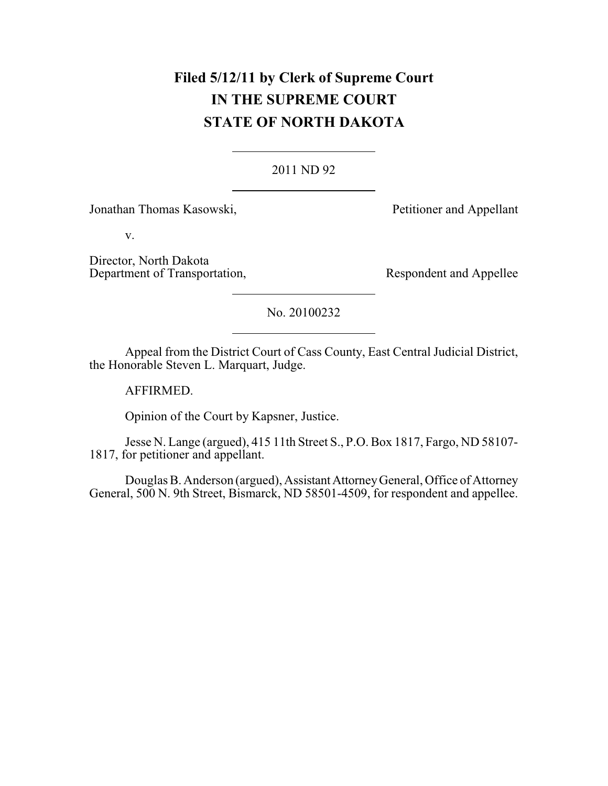# **Filed 5/12/11 by Clerk of Supreme Court IN THE SUPREME COURT STATE OF NORTH DAKOTA**

### 2011 ND 92

Jonathan Thomas Kasowski, Petitioner and Appellant

v.

Director, North Dakota Department of Transportation, Respondent and Appellee

### No. 20100232

Appeal from the District Court of Cass County, East Central Judicial District, the Honorable Steven L. Marquart, Judge.

AFFIRMED.

Opinion of the Court by Kapsner, Justice.

Jesse N. Lange (argued), 415 11th Street S., P.O. Box 1817, Fargo, ND 58107- 1817, for petitioner and appellant.

Douglas B. Anderson (argued), Assistant Attorney General, Office of Attorney General, 500 N. 9th Street, Bismarck, ND 58501-4509, for respondent and appellee.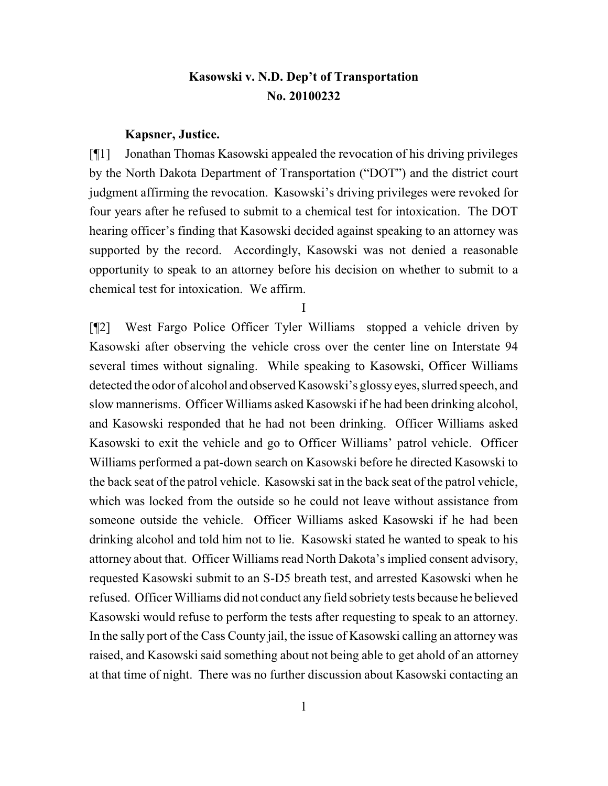## **Kasowski v. N.D. Dep't of Transportation No. 20100232**

#### **Kapsner, Justice.**

[¶1] Jonathan Thomas Kasowski appealed the revocation of his driving privileges by the North Dakota Department of Transportation ("DOT") and the district court judgment affirming the revocation. Kasowski's driving privileges were revoked for four years after he refused to submit to a chemical test for intoxication. The DOT hearing officer's finding that Kasowski decided against speaking to an attorney was supported by the record. Accordingly, Kasowski was not denied a reasonable opportunity to speak to an attorney before his decision on whether to submit to a chemical test for intoxication. We affirm.

I

[¶2] West Fargo Police Officer Tyler Williams stopped a vehicle driven by Kasowski after observing the vehicle cross over the center line on Interstate 94 several times without signaling. While speaking to Kasowski, Officer Williams detected the odor of alcohol and observed Kasowski's glossyeyes, slurred speech, and slow mannerisms. Officer Williams asked Kasowski if he had been drinking alcohol, and Kasowski responded that he had not been drinking. Officer Williams asked Kasowski to exit the vehicle and go to Officer Williams' patrol vehicle. Officer Williams performed a pat-down search on Kasowski before he directed Kasowski to the back seat of the patrol vehicle. Kasowski sat in the back seat of the patrol vehicle, which was locked from the outside so he could not leave without assistance from someone outside the vehicle. Officer Williams asked Kasowski if he had been drinking alcohol and told him not to lie. Kasowski stated he wanted to speak to his attorney about that. Officer Williams read North Dakota's implied consent advisory, requested Kasowski submit to an S-D5 breath test, and arrested Kasowski when he refused. Officer Williams did not conduct any field sobriety tests because he believed Kasowski would refuse to perform the tests after requesting to speak to an attorney. In the sally port of the Cass County jail, the issue of Kasowski calling an attorney was raised, and Kasowski said something about not being able to get ahold of an attorney at that time of night. There was no further discussion about Kasowski contacting an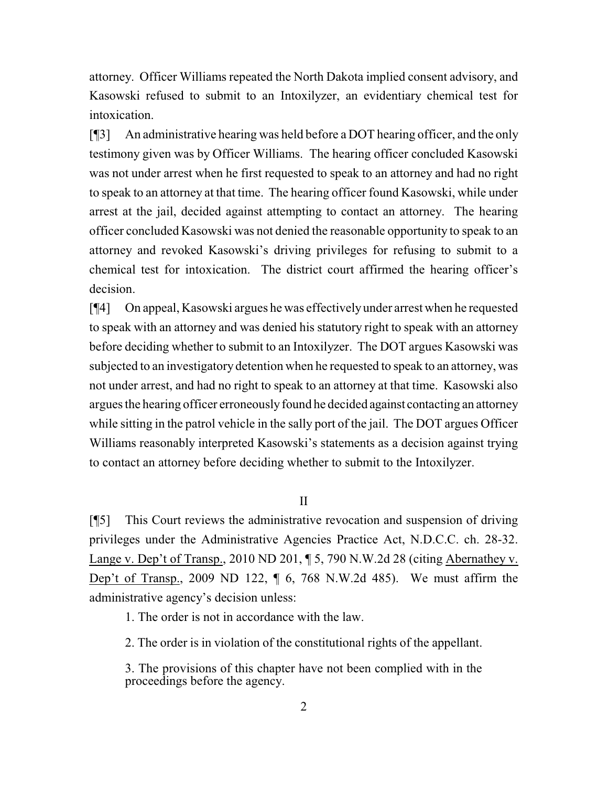attorney. Officer Williams repeated the North Dakota implied consent advisory, and Kasowski refused to submit to an Intoxilyzer, an evidentiary chemical test for intoxication.

[¶3] An administrative hearing was held before a DOT hearing officer, and the only testimony given was by Officer Williams. The hearing officer concluded Kasowski was not under arrest when he first requested to speak to an attorney and had no right to speak to an attorney at that time. The hearing officer found Kasowski, while under arrest at the jail, decided against attempting to contact an attorney. The hearing officer concluded Kasowski was not denied the reasonable opportunity to speak to an attorney and revoked Kasowski's driving privileges for refusing to submit to a chemical test for intoxication. The district court affirmed the hearing officer's decision.

[¶4] On appeal, Kasowski argues he was effectivelyunder arrest when he requested to speak with an attorney and was denied his statutory right to speak with an attorney before deciding whether to submit to an Intoxilyzer. The DOT argues Kasowski was subjected to an investigatory detention when he requested to speak to an attorney, was not under arrest, and had no right to speak to an attorney at that time. Kasowski also argues the hearing officer erroneouslyfound he decided against contacting an attorney while sitting in the patrol vehicle in the sally port of the jail. The DOT argues Officer Williams reasonably interpreted Kasowski's statements as a decision against trying to contact an attorney before deciding whether to submit to the Intoxilyzer.

II

[¶5] This Court reviews the administrative revocation and suspension of driving privileges under the Administrative Agencies Practice Act, N.D.C.C. ch. 28-32. Lange v. Dep't of Transp., 2010 ND 201, ¶ 5, 790 N.W.2d 28 (citing Abernathey v. Dep't of Transp., 2009 ND 122, ¶ 6, 768 N.W.2d 485). We must affirm the administrative agency's decision unless:

1. The order is not in accordance with the law.

2. The order is in violation of the constitutional rights of the appellant.

3. The provisions of this chapter have not been complied with in the proceedings before the agency.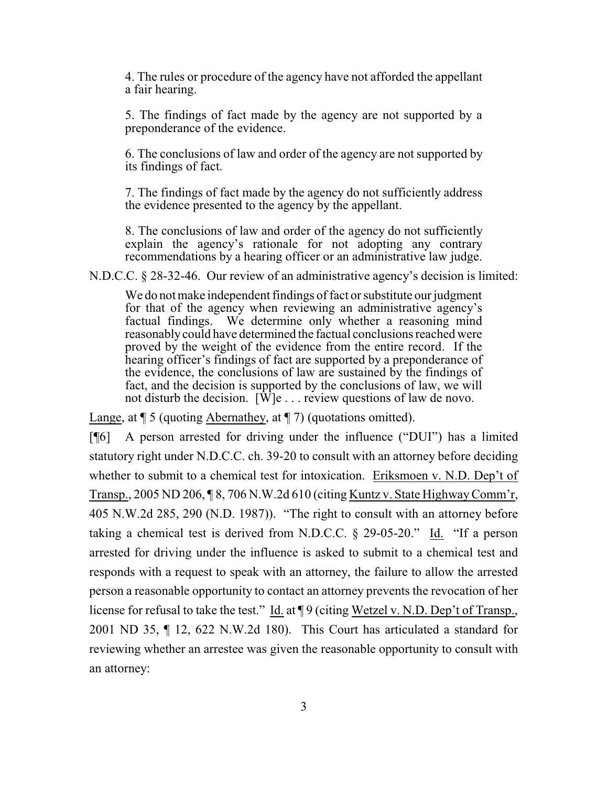4. The rules or procedure of the agency have not afforded the appellant a fair hearing.

5. The findings of fact made by the agency are not supported by a preponderance of the evidence.

6. The conclusions of law and order of the agency are not supported by its findings of fact.

7. The findings of fact made by the agency do not sufficiently address the evidence presented to the agency by the appellant.

8. The conclusions of law and order of the agency do not sufficiently explain the agency's rationale for not adopting any contrary recommendations by a hearing officer or an administrative law judge.

N.D.C.C. § 28-32-46. Our review of an administrative agency's decision is limited:

We do not make independent findings of fact or substitute our judgment for that of the agency when reviewing an administrative agency's factual findings. We determine only whether a reasoning mind reasonablycould have determined the factual conclusions reached were proved by the weight of the evidence from the entire record. If the hearing officer's findings of fact are supported by a preponderance of the evidence, the conclusions of law are sustained by the findings of fact, and the decision is supported by the conclusions of law, we will not disturb the decision.  $[\hat{W}]e$ ... review questions of law de novo.

Lange, at  $\P$  5 (quoting Abernathey, at  $\P$  7) (quotations omitted).

[¶6] A person arrested for driving under the influence ("DUI") has a limited statutory right under N.D.C.C. ch. 39-20 to consult with an attorney before deciding whether to submit to a chemical test for intoxication. Eriksmoen v. N.D. Dep't of Transp., 2005 ND 206, ¶ 8, 706 N.W.2d 610 (citing Kuntz v. State HighwayComm'r, 405 N.W.2d 285, 290 (N.D. 1987)). "The right to consult with an attorney before taking a chemical test is derived from N.D.C.C. § 29-05-20." Id. "If a person arrested for driving under the influence is asked to submit to a chemical test and responds with a request to speak with an attorney, the failure to allow the arrested person a reasonable opportunity to contact an attorney prevents the revocation of her license for refusal to take the test." Id. at ¶ 9 (citing Wetzel v. N.D. Dep't of Transp., 2001 ND 35, ¶ 12, 622 N.W.2d 180). This Court has articulated a standard for reviewing whether an arrestee was given the reasonable opportunity to consult with an attorney: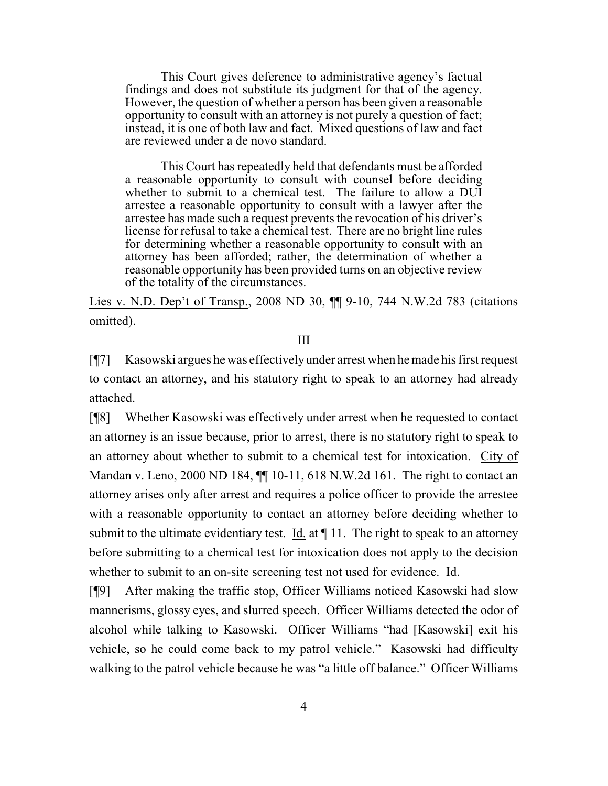This Court gives deference to administrative agency's factual findings and does not substitute its judgment for that of the agency. However, the question of whether a person has been given a reasonable opportunity to consult with an attorney is not purely a question of fact; instead, it is one of both law and fact. Mixed questions of law and fact are reviewed under a de novo standard.

This Court has repeatedly held that defendants must be afforded a reasonable opportunity to consult with counsel before deciding whether to submit to a chemical test. The failure to allow a DUI arrestee a reasonable opportunity to consult with a lawyer after the arrestee has made such a request prevents the revocation of his driver's license for refusal to take a chemical test. There are no bright line rules for determining whether a reasonable opportunity to consult with an attorney has been afforded; rather, the determination of whether a reasonable opportunity has been provided turns on an objective review of the totality of the circumstances.

Lies v. N.D. Dep't of Transp., 2008 ND 30, ¶¶ 9-10, 744 N.W.2d 783 (citations omitted).

III

[¶7] Kasowski argues he was effectivelyunder arrest when he made his first request to contact an attorney, and his statutory right to speak to an attorney had already attached.

[¶8] Whether Kasowski was effectively under arrest when he requested to contact an attorney is an issue because, prior to arrest, there is no statutory right to speak to an attorney about whether to submit to a chemical test for intoxication. City of Mandan v. Leno, 2000 ND 184, ¶¶ 10-11, 618 N.W.2d 161. The right to contact an attorney arises only after arrest and requires a police officer to provide the arrestee with a reasonable opportunity to contact an attorney before deciding whether to submit to the ultimate evidentiary test. Id. at  $\P$  11. The right to speak to an attorney before submitting to a chemical test for intoxication does not apply to the decision whether to submit to an on-site screening test not used for evidence. Id.

[¶9] After making the traffic stop, Officer Williams noticed Kasowski had slow mannerisms, glossy eyes, and slurred speech. Officer Williams detected the odor of alcohol while talking to Kasowski. Officer Williams "had [Kasowski] exit his vehicle, so he could come back to my patrol vehicle." Kasowski had difficulty walking to the patrol vehicle because he was "a little off balance." Officer Williams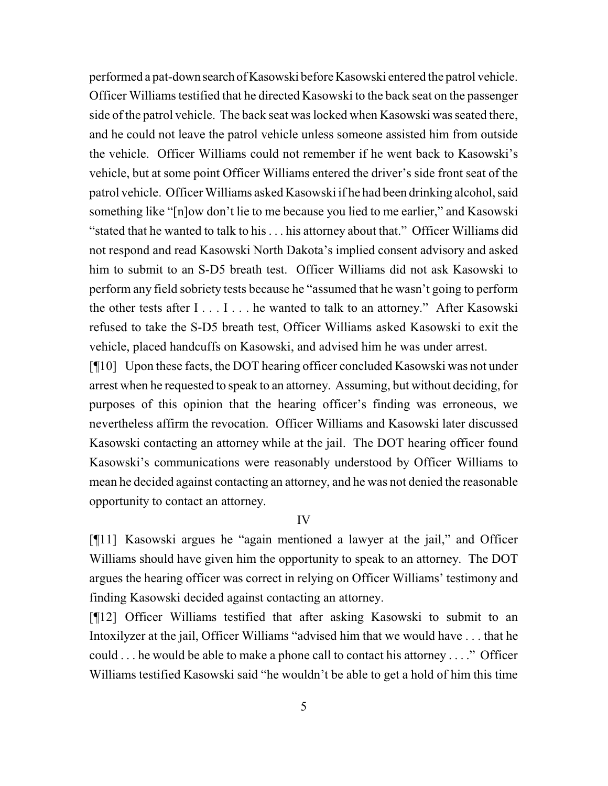performed a pat-down search of Kasowski before Kasowski entered the patrol vehicle. Officer Williams testified that he directed Kasowski to the back seat on the passenger side of the patrol vehicle. The back seat was locked when Kasowski was seated there, and he could not leave the patrol vehicle unless someone assisted him from outside the vehicle. Officer Williams could not remember if he went back to Kasowski's vehicle, but at some point Officer Williams entered the driver's side front seat of the patrol vehicle. Officer Williams asked Kasowski if he had been drinking alcohol, said something like "[n]ow don't lie to me because you lied to me earlier," and Kasowski "stated that he wanted to talk to his . . . his attorney about that." Officer Williams did not respond and read Kasowski North Dakota's implied consent advisory and asked him to submit to an S-D5 breath test. Officer Williams did not ask Kasowski to perform any field sobriety tests because he "assumed that he wasn't going to perform the other tests after  $I \ldots I \ldots$  he wanted to talk to an attorney." After Kasowski refused to take the S-D5 breath test, Officer Williams asked Kasowski to exit the vehicle, placed handcuffs on Kasowski, and advised him he was under arrest.

[¶10] Upon these facts, the DOT hearing officer concluded Kasowski was not under arrest when he requested to speak to an attorney. Assuming, but without deciding, for purposes of this opinion that the hearing officer's finding was erroneous, we nevertheless affirm the revocation. Officer Williams and Kasowski later discussed Kasowski contacting an attorney while at the jail. The DOT hearing officer found Kasowski's communications were reasonably understood by Officer Williams to mean he decided against contacting an attorney, and he was not denied the reasonable opportunity to contact an attorney.

### IV

[¶11] Kasowski argues he "again mentioned a lawyer at the jail," and Officer Williams should have given him the opportunity to speak to an attorney. The DOT argues the hearing officer was correct in relying on Officer Williams' testimony and finding Kasowski decided against contacting an attorney.

[¶12] Officer Williams testified that after asking Kasowski to submit to an Intoxilyzer at the jail, Officer Williams "advised him that we would have . . . that he could . . . he would be able to make a phone call to contact his attorney . . . ." Officer Williams testified Kasowski said "he wouldn't be able to get a hold of him this time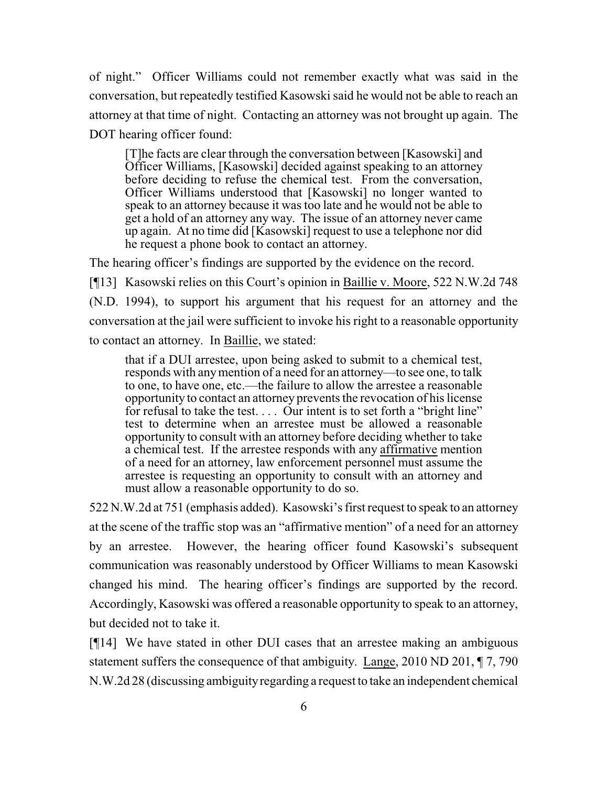of night." Officer Williams could not remember exactly what was said in the conversation, but repeatedly testified Kasowski said he would not be able to reach an attorney at that time of night. Contacting an attorney was not brought up again. The DOT hearing officer found:

[T]he facts are clear through the conversation between [Kasowski] and Officer Williams, [Kasowski] decided against speaking to an attorney before deciding to refuse the chemical test. From the conversation, Officer Williams understood that [Kasowski] no longer wanted to speak to an attorney because it was too late and he would not be able to get a hold of an attorney any way. The issue of an attorney never came up again. At no time did [Kasowski] request to use a telephone nor did he request a phone book to contact an attorney.

The hearing officer's findings are supported by the evidence on the record. [¶13] Kasowski relies on this Court's opinion in Baillie v. Moore, 522 N.W.2d 748 (N.D. 1994), to support his argument that his request for an attorney and the conversation at the jail were sufficient to invoke his right to a reasonable opportunity to contact an attorney. In Baillie, we stated:

that if a DUI arrestee, upon being asked to submit to a chemical test, responds with anymention of a need for an attorney—to see one, to talk to one, to have one, etc.—the failure to allow the arrestee a reasonable opportunity to contact an attorney prevents the revocation of his license for refusal to take the test. . . . Our intent is to set forth a "bright line" test to determine when an arrestee must be allowed a reasonable opportunity to consult with an attorney before deciding whether to take a chemical test. If the arrestee responds with any affirmative mention of a need for an attorney, law enforcement personnel must assume the arrestee is requesting an opportunity to consult with an attorney and must allow a reasonable opportunity to do so.

522 N.W.2d at 751 (emphasis added). Kasowski's first request to speak to an attorney at the scene of the traffic stop was an "affirmative mention" of a need for an attorney by an arrestee. However, the hearing officer found Kasowski's subsequent communication was reasonably understood by Officer Williams to mean Kasowski changed his mind. The hearing officer's findings are supported by the record. Accordingly, Kasowski was offered a reasonable opportunity to speak to an attorney, but decided not to take it.

[¶14] We have stated in other DUI cases that an arrestee making an ambiguous statement suffers the consequence of that ambiguity. Lange, 2010 ND 201, ¶ 7, 790 N.W.2d 28 (discussing ambiguityregarding a request to take an independent chemical